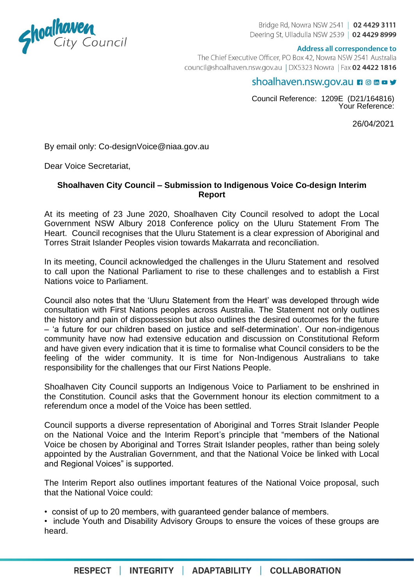

Bridge Rd, Nowra NSW 2541 | 02 4429 3111 Deering St, Ulladulla NSW 2539 | 02 4429 8999

## Address all correspondence to

The Chief Executive Officer, PO Box 42, Nowra NSW 2541 Australia council@shoalhaven.nsw.gov.au | DX5323 Nowra | Fax 02 4422 1816

## shoalhaven.nsw.gov.au n ◎ m □ ッ

Council Reference: 1209E (D21/164816) Your Reference:

26/04/2021

By email only: Co-designVoice@niaa.gov.au

Dear Voice Secretariat,

## **Shoalhaven City Council – Submission to Indigenous Voice Co-design Interim Report**

At its meeting of 23 June 2020, Shoalhaven City Council resolved to adopt the Local Government NSW Albury 2018 Conference policy on the Uluru Statement From The Heart. Council recognises that the Uluru Statement is a clear expression of Aboriginal and Torres Strait Islander Peoples vision towards Makarrata and reconciliation.

In its meeting, Council acknowledged the challenges in the Uluru Statement and resolved to call upon the National Parliament to rise to these challenges and to establish a First Nations voice to Parliament.

Council also notes that the 'Uluru Statement from the Heart' was developed through wide consultation with First Nations peoples across Australia. The Statement not only outlines the history and pain of dispossession but also outlines the desired outcomes for the future – 'a future for our children based on justice and self-determination'. Our non-indigenous community have now had extensive education and discussion on Constitutional Reform and have given every indication that it is time to formalise what Council considers to be the feeling of the wider community. It is time for Non-Indigenous Australians to take responsibility for the challenges that our First Nations People.

Shoalhaven City Council supports an Indigenous Voice to Parliament to be enshrined in the Constitution. Council asks that the Government honour its election commitment to a referendum once a model of the Voice has been settled.

Council supports a diverse representation of Aboriginal and Torres Strait Islander People on the National Voice and the Interim Report's principle that "members of the National Voice be chosen by Aboriginal and Torres Strait Islander peoples, rather than being solely appointed by the Australian Government, and that the National Voice be linked with Local and Regional Voices" is supported.

The Interim Report also outlines important features of the National Voice proposal, such that the National Voice could:

• consist of up to 20 members, with guaranteed gender balance of members.

• include Youth and Disability Advisory Groups to ensure the voices of these groups are heard.